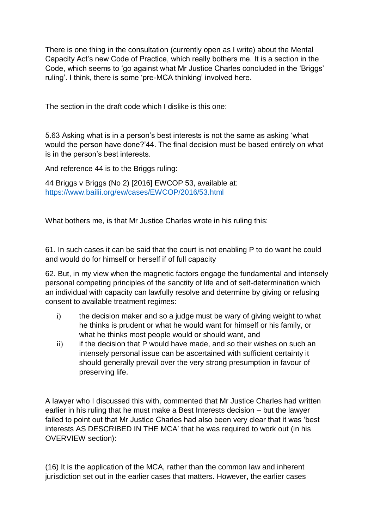There is one thing in the consultation (currently open as I write) about the Mental Capacity Act's new Code of Practice, which really bothers me. It is a section in the Code, which seems to 'go against what Mr Justice Charles concluded in the 'Briggs' ruling'. I think, there is some 'pre-MCA thinking' involved here.

The section in the draft code which I dislike is this one:

5.63 Asking what is in a person's best interests is not the same as asking 'what would the person have done?'44. The final decision must be based entirely on what is in the person's best interests.

And reference 44 is to the Briggs ruling:

44 Briggs v Briggs (No 2) [2016] EWCOP 53, available at: <https://www.bailii.org/ew/cases/EWCOP/2016/53.html>

What bothers me, is that Mr Justice Charles wrote in his ruling this:

61. In such cases it can be said that the court is not enabling P to do want he could and would do for himself or herself if of full capacity

62. But, in my view when the magnetic factors engage the fundamental and intensely personal competing principles of the sanctity of life and of self-determination which an individual with capacity can lawfully resolve and determine by giving or refusing consent to available treatment regimes:

- i) the decision maker and so a judge must be wary of giving weight to what he thinks is prudent or what he would want for himself or his family, or what he thinks most people would or should want, and
- ii) if the decision that P would have made, and so their wishes on such an intensely personal issue can be ascertained with sufficient certainty it should generally prevail over the very strong presumption in favour of preserving life.

A lawyer who I discussed this with, commented that Mr Justice Charles had written earlier in his ruling that he must make a Best Interests decision – but the lawyer failed to point out that Mr Justice Charles had also been very clear that it was 'best interests AS DESCRIBED IN THE MCA' that he was required to work out (in his OVERVIEW section):

(16) It is the application of the MCA, rather than the common law and inherent jurisdiction set out in the earlier cases that matters. However, the earlier cases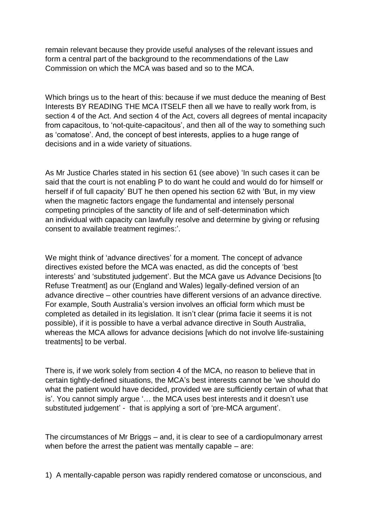remain relevant because they provide useful analyses of the relevant issues and form a central part of the background to the recommendations of the Law Commission on which the MCA was based and so to the MCA.

Which brings us to the heart of this: because if we must deduce the meaning of Best Interests BY READING THE MCA ITSELF then all we have to really work from, is section 4 of the Act. And section 4 of the Act, covers all degrees of mental incapacity from capacitous, to 'not-quite-capacitous', and then all of the way to something such as 'comatose'. And, the concept of best interests, applies to a huge range of decisions and in a wide variety of situations.

As Mr Justice Charles stated in his section 61 (see above) 'In such cases it can be said that the court is not enabling P to do want he could and would do for himself or herself if of full capacity' BUT he then opened his section 62 with 'But, in my view when the magnetic factors engage the fundamental and intensely personal competing principles of the sanctity of life and of self-determination which an individual with capacity can lawfully resolve and determine by giving or refusing consent to available treatment regimes:'.

We might think of 'advance directives' for a moment. The concept of advance directives existed before the MCA was enacted, as did the concepts of 'best interests' and 'substituted judgement'. But the MCA gave us Advance Decisions [to Refuse Treatment] as our (England and Wales) legally-defined version of an advance directive – other countries have different versions of an advance directive. For example, South Australia's version involves an official form which must be completed as detailed in its legislation. It isn't clear (prima facie it seems it is not possible), if it is possible to have a verbal advance directive in South Australia, whereas the MCA allows for advance decisions [which do not involve life-sustaining treatments] to be verbal.

There is, if we work solely from section 4 of the MCA, no reason to believe that in certain tightly-defined situations, the MCA's best interests cannot be 'we should do what the patient would have decided, provided we are sufficiently certain of what that is'. You cannot simply argue '… the MCA uses best interests and it doesn't use substituted judgement' - that is applying a sort of 'pre-MCA argument'.

The circumstances of Mr Briggs – and, it is clear to see of a cardiopulmonary arrest when before the arrest the patient was mentally capable – are:

1) A mentally-capable person was rapidly rendered comatose or unconscious, and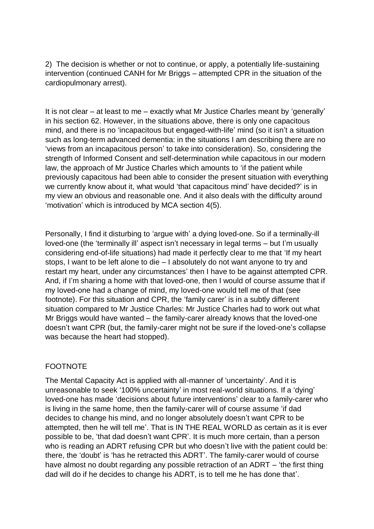2) The decision is whether or not to continue, or apply, a potentially life-sustaining intervention (continued CANH for Mr Briggs – attempted CPR in the situation of the cardiopulmonary arrest).

It is not clear – at least to me – exactly what Mr Justice Charles meant by 'generally' in his section 62. However, in the situations above, there is only one capacitous mind, and there is no 'incapacitous but engaged-with-life' mind (so it isn't a situation such as long-term advanced dementia: in the situations I am describing there are no 'views from an incapacitous person' to take into consideration). So, considering the strength of Informed Consent and self-determination while capacitous in our modern law, the approach of Mr Justice Charles which amounts to 'if the patient while previously capacitous had been able to consider the present situation with everything we currently know about it, what would 'that capacitous mind' have decided?' is in my view an obvious and reasonable one. And it also deals with the difficulty around 'motivation' which is introduced by MCA section 4(5).

Personally, I find it disturbing to 'argue with' a dying loved-one. So if a terminally-ill loved-one (the 'terminally ill' aspect isn't necessary in legal terms – but I'm usually considering end-of-life situations) had made it perfectly clear to me that 'If my heart stops, I want to be left alone to die – I absolutely do not want anyone to try and restart my heart, under any circumstances' then I have to be against attempted CPR. And, if I'm sharing a home with that loved-one, then I would of course assume that if my loved-one had a change of mind, my loved-one would tell me of that (see footnote). For this situation and CPR, the 'family carer' is in a subtly different situation compared to Mr Justice Charles: Mr Justice Charles had to work out what Mr Briggs would have wanted – the family-carer already knows that the loved-one doesn't want CPR (but, the family-carer might not be sure if the loved-one's collapse was because the heart had stopped).

## FOOTNOTE

The Mental Capacity Act is applied with all-manner of 'uncertainty'. And it is unreasonable to seek '100% uncertainty' in most real-world situations. If a 'dying' loved-one has made 'decisions about future interventions' clear to a family-carer who is living in the same home, then the family-carer will of course assume 'if dad decides to change his mind, and no longer absolutely doesn't want CPR to be attempted, then he will tell me'. That is IN THE REAL WORLD as certain as it is ever possible to be, 'that dad doesn't want CPR'. It is much more certain, than a person who is reading an ADRT refusing CPR but who doesn't live with the patient could be: there, the 'doubt' is 'has he retracted this ADRT'. The family-carer would of course have almost no doubt regarding any possible retraction of an ADRT – 'the first thing dad will do if he decides to change his ADRT, is to tell me he has done that'.